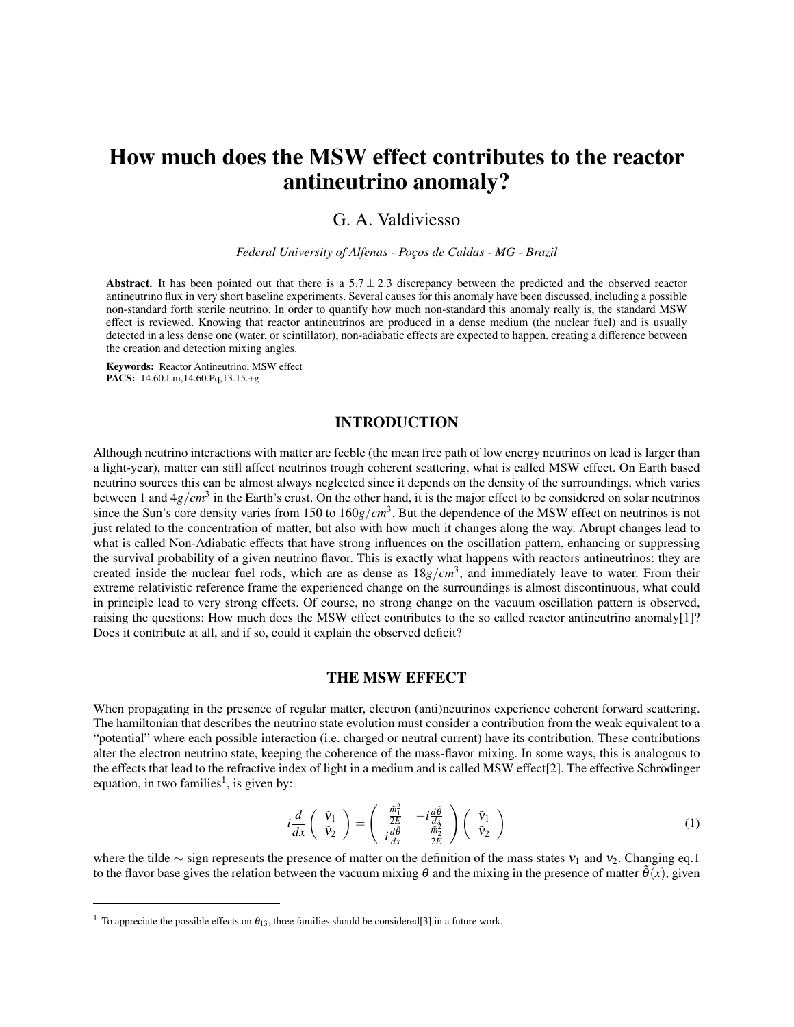# How much does the MSW effect contributes to the reactor antineutrino anomaly?

## G. A. Valdiviesso

*Federal University of Alfenas - Poços de Caldas - MG - Brazil*

Abstract. It has been pointed out that there is a  $5.7 \pm 2.3$  discrepancy between the predicted and the observed reactor antineutrino flux in very short baseline experiments. Several causes for this anomaly have been discussed, including a possible non-standard forth sterile neutrino. In order to quantify how much non-standard this anomaly really is, the standard MSW effect is reviewed. Knowing that reactor antineutrinos are produced in a dense medium (the nuclear fuel) and is usually detected in a less dense one (water, or scintillator), non-adiabatic effects are expected to happen, creating a difference between the creation and detection mixing angles.

Keywords: Reactor Antineutrino, MSW effect PACS: 14.60.Lm,14.60.Pq,13.15.+g

## INTRODUCTION

Although neutrino interactions with matter are feeble (the mean free path of low energy neutrinos on lead is larger than a light-year), matter can still affect neutrinos trough coherent scattering, what is called MSW effect. On Earth based neutrino sources this can be almost always neglected since it depends on the density of the surroundings, which varies between 1 and  $4g/cm<sup>3</sup>$  in the Earth's crust. On the other hand, it is the major effect to be considered on solar neutrinos since the Sun's core density varies from 150 to 160*g*/*cm*<sup>3</sup> . But the dependence of the MSW effect on neutrinos is not just related to the concentration of matter, but also with how much it changes along the way. Abrupt changes lead to what is called Non-Adiabatic effects that have strong influences on the oscillation pattern, enhancing or suppressing the survival probability of a given neutrino flavor. This is exactly what happens with reactors antineutrinos: they are created inside the nuclear fuel rods, which are as dense as 18*g*/*cm*<sup>3</sup> , and immediately leave to water. From their extreme relativistic reference frame the experienced change on the surroundings is almost discontinuous, what could in principle lead to very strong effects. Of course, no strong change on the vacuum oscillation pattern is observed, raising the questions: How much does the MSW effect contributes to the so called reactor antineutrino anomaly[1]? Does it contribute at all, and if so, could it explain the observed deficit?

### THE MSW EFFECT

When propagating in the presence of regular matter, electron (anti)neutrinos experience coherent forward scattering. The hamiltonian that describes the neutrino state evolution must consider a contribution from the weak equivalent to a "potential" where each possible interaction (i.e. charged or neutral current) have its contribution. These contributions alter the electron neutrino state, keeping the coherence of the mass-flavor mixing. In some ways, this is analogous to the effects that lead to the refractive index of light in a medium and is called MSW effect[2]. The effective Schrödinger equation, in two families<sup>1</sup>, is given by:

$$
i\frac{d}{dx}\begin{pmatrix} \tilde{\mathbf{v}}_1\\ \tilde{\mathbf{v}}_2 \end{pmatrix} = \begin{pmatrix} \frac{\tilde{m}_1^2}{2E} & -i\frac{d\tilde{\theta}}{dx}\\ i\frac{d\tilde{\theta}}{dx} & \frac{\tilde{m}_2^2}{2E} \end{pmatrix} \begin{pmatrix} \tilde{\mathbf{v}}_1\\ \tilde{\mathbf{v}}_2 \end{pmatrix}
$$
(1)

where the tilde ∼ sign represents the presence of matter on the definition of the mass states  $v_1$  and  $v_2$ . Changing eq.1 to the flavor base gives the relation between the vacuum mixing  $\theta$  and the mixing in the presence of matter  $\tilde{\theta}(x)$ , given

<sup>&</sup>lt;sup>1</sup> To appreciate the possible effects on  $\theta_{13}$ , three families should be considered[3] in a future work.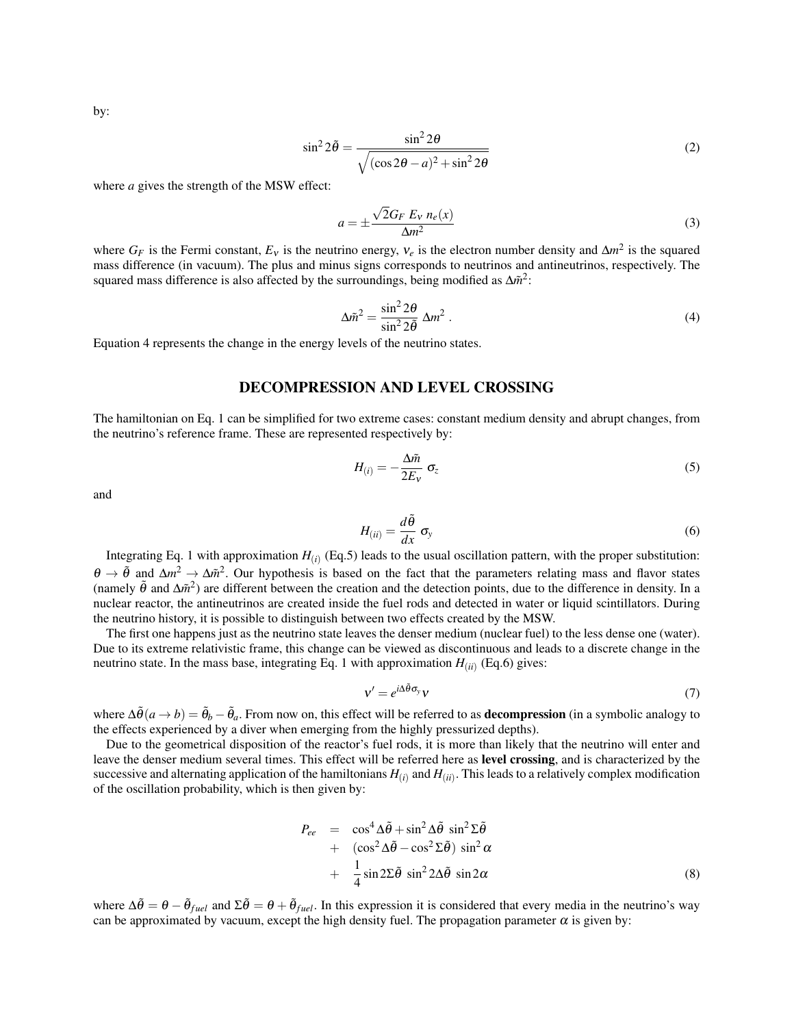by:

$$
\sin^2 2\tilde{\theta} = \frac{\sin^2 2\theta}{\sqrt{(\cos 2\theta - a)^2 + \sin^2 2\theta}}
$$
 (2)

where *a* gives the strength of the MSW effect:

$$
a = \pm \frac{\sqrt{2}G_F E_V n_e(x)}{\Delta m^2}
$$
 (3)

where  $G_F$  is the Fermi constant,  $E_V$  is the neutrino energy,  $v_e$  is the electron number density and  $\Delta m^2$  is the squared mass difference (in vacuum). The plus and minus signs corresponds to neutrinos and antineutrinos, respectively. The squared mass difference is also affected by the surroundings, being modified as ∆*m*<sup>2</sup>:

$$
\Delta \tilde{m}^2 = \frac{\sin^2 2\theta}{\sin^2 2\tilde{\theta}} \Delta m^2 \,. \tag{4}
$$

Equation 4 represents the change in the energy levels of the neutrino states.

## DECOMPRESSION AND LEVEL CROSSING

The hamiltonian on Eq. 1 can be simplified for two extreme cases: constant medium density and abrupt changes, from the neutrino's reference frame. These are represented respectively by:

$$
H_{(i)} = -\frac{\Delta \tilde{m}}{2E_v} \sigma_z \tag{5}
$$

and

$$
H_{(ii)} = \frac{d\tilde{\theta}}{dx} \sigma_{y}
$$
 (6)

Integrating Eq. 1 with approximation  $H_{(i)}$  (Eq.5) leads to the usual oscillation pattern, with the proper substitution:  $\theta \to \tilde{\theta}$  and  $\Delta m^2 \to \Delta \tilde{m}^2$ . Our hypothesis is based on the fact that the parameters relating mass and flavor states (namely  $\tilde{\theta}$  and  $\Delta \tilde{m}^2$ ) are different between the creation and the detection points, due to the difference in density. In a nuclear reactor, the antineutrinos are created inside the fuel rods and detected in water or liquid scintillators. During the neutrino history, it is possible to distinguish between two effects created by the MSW.

The first one happens just as the neutrino state leaves the denser medium (nuclear fuel) to the less dense one (water). Due to its extreme relativistic frame, this change can be viewed as discontinuous and leads to a discrete change in the neutrino state. In the mass base, integrating Eq. 1 with approximation  $H_{(ii)}$  (Eq.6) gives:

$$
v' = e^{i\Delta\tilde{\theta}\sigma_y}v\tag{7}
$$

where  $\Delta\tilde{\theta}(a\to b) = \tilde{\theta}_b - \tilde{\theta}_a$ . From now on, this effect will be referred to as **decompression** (in a symbolic analogy to the effects experienced by a diver when emerging from the highly pressurized depths).

Due to the geometrical disposition of the reactor's fuel rods, it is more than likely that the neutrino will enter and leave the denser medium several times. This effect will be referred here as level crossing, and is characterized by the successive and alternating application of the hamiltonians  $H_{(i)}$  and  $H_{(ii)}$ . This leads to a relatively complex modification of the oscillation probability, which is then given by:

$$
P_{ee} = \cos^4 \Delta \tilde{\theta} + \sin^2 \Delta \tilde{\theta} \sin^2 \Sigma \tilde{\theta} + (\cos^2 \Delta \tilde{\theta} - \cos^2 \Sigma \tilde{\theta}) \sin^2 \alpha + \frac{1}{4} \sin 2 \Sigma \tilde{\theta} \sin^2 2 \Delta \tilde{\theta} \sin 2 \alpha
$$
 (8)

where  $\Delta\tilde{\theta} = \theta - \tilde{\theta}_{fuel}$  and  $\Sigma\tilde{\theta} = \theta + \tilde{\theta}_{fuel}$ . In this expression it is considered that every media in the neutrino's way can be approximated by vacuum, except the high density fuel. The propagation parameter  $\alpha$  is given by: